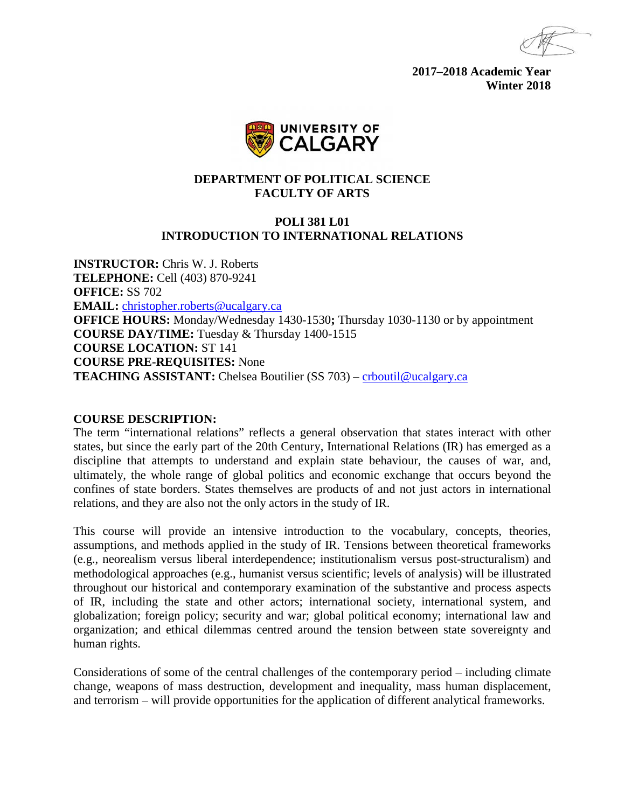**2017–2018 Academic Year Winter 2018**



## **DEPARTMENT OF POLITICAL SCIENCE FACULTY OF ARTS**

### **POLI 381 L01 INTRODUCTION TO INTERNATIONAL RELATIONS**

**INSTRUCTOR:** Chris W. J. Roberts **TELEPHONE:** Cell (403) 870-9241 **OFFICE:** SS 702 **EMAIL:** [christopher.roberts@ucalgary.ca](mailto:christopher.roberts@ucalgary.ca) **OFFICE HOURS:** Monday/Wednesday 1430-1530**;** Thursday 1030-1130 or by appointment **COURSE DAY/TIME:** Tuesday & Thursday 1400-1515 **COURSE LOCATION:** ST 141 **COURSE PRE-REQUISITES:** None **TEACHING ASSISTANT:** Chelsea Boutilier (SS 703) – [crboutil@ucalgary.ca](mailto:crboutil@ucalgary.ca)

#### **COURSE DESCRIPTION:**

The term "international relations" reflects a general observation that states interact with other states, but since the early part of the 20th Century, International Relations (IR) has emerged as a discipline that attempts to understand and explain state behaviour, the causes of war, and, ultimately, the whole range of global politics and economic exchange that occurs beyond the confines of state borders. States themselves are products of and not just actors in international relations, and they are also not the only actors in the study of IR.

This course will provide an intensive introduction to the vocabulary, concepts, theories, assumptions, and methods applied in the study of IR. Tensions between theoretical frameworks (e.g., neorealism versus liberal interdependence; institutionalism versus post-structuralism) and methodological approaches (e.g., humanist versus scientific; levels of analysis) will be illustrated throughout our historical and contemporary examination of the substantive and process aspects of IR, including the state and other actors; international society, international system, and globalization; foreign policy; security and war; global political economy; international law and organization; and ethical dilemmas centred around the tension between state sovereignty and human rights.

Considerations of some of the central challenges of the contemporary period – including climate change, weapons of mass destruction, development and inequality, mass human displacement, and terrorism – will provide opportunities for the application of different analytical frameworks.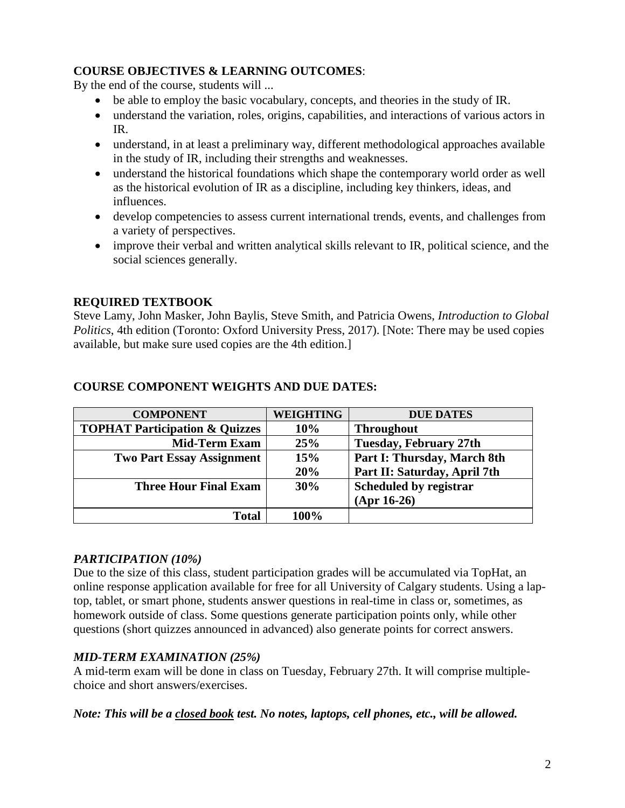## **COURSE OBJECTIVES & LEARNING OUTCOMES**:

By the end of the course, students will ...

- be able to employ the basic vocabulary, concepts, and theories in the study of IR.
- understand the variation, roles, origins, capabilities, and interactions of various actors in IR.
- understand, in at least a preliminary way, different methodological approaches available in the study of IR, including their strengths and weaknesses.
- understand the historical foundations which shape the contemporary world order as well as the historical evolution of IR as a discipline, including key thinkers, ideas, and influences.
- develop competencies to assess current international trends, events, and challenges from a variety of perspectives.
- improve their verbal and written analytical skills relevant to IR, political science, and the social sciences generally.

# **REQUIRED TEXTBOOK**

Steve Lamy, John Masker, John Baylis, Steve Smith, and Patricia Owens, *Introduction to Global Politics*, 4th edition (Toronto: Oxford University Press, 2017). [Note: There may be used copies available, but make sure used copies are the 4th edition.]

| <b>COMPONENT</b>                          | <b>WEIGHTING</b> | <b>DUE DATES</b>              |
|-------------------------------------------|------------------|-------------------------------|
| <b>TOPHAT Participation &amp; Quizzes</b> | 10%              | <b>Throughout</b>             |
| <b>Mid-Term Exam</b>                      | 25%              | <b>Tuesday, February 27th</b> |
| <b>Two Part Essay Assignment</b>          | 15%              | Part I: Thursday, March 8th   |
|                                           | 20%              | Part II: Saturday, April 7th  |
| <b>Three Hour Final Exam</b>              | 30%              | Scheduled by registrar        |
|                                           |                  | $(Apr 16-26)$                 |
| <b>Total</b>                              | 100%             |                               |

# **COURSE COMPONENT WEIGHTS AND DUE DATES:**

## *PARTICIPATION (10%)*

Due to the size of this class, student participation grades will be accumulated via TopHat, an online response application available for free for all University of Calgary students. Using a laptop, tablet, or smart phone, students answer questions in real-time in class or, sometimes, as homework outside of class. Some questions generate participation points only, while other questions (short quizzes announced in advanced) also generate points for correct answers.

# *MID-TERM EXAMINATION (25%)*

A mid-term exam will be done in class on Tuesday, February 27th. It will comprise multiplechoice and short answers/exercises.

*Note: This will be a closed book test. No notes, laptops, cell phones, etc., will be allowed.*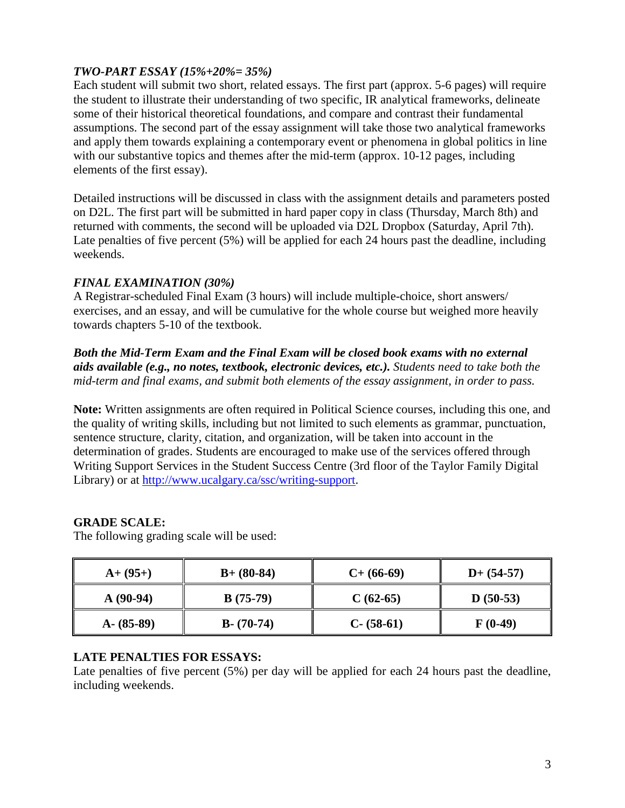## *TWO-PART ESSAY (15%+20%= 35%)*

Each student will submit two short, related essays. The first part (approx. 5-6 pages) will require the student to illustrate their understanding of two specific, IR analytical frameworks, delineate some of their historical theoretical foundations, and compare and contrast their fundamental assumptions. The second part of the essay assignment will take those two analytical frameworks and apply them towards explaining a contemporary event or phenomena in global politics in line with our substantive topics and themes after the mid-term (approx. 10-12 pages, including elements of the first essay).

Detailed instructions will be discussed in class with the assignment details and parameters posted on D2L. The first part will be submitted in hard paper copy in class (Thursday, March 8th) and returned with comments, the second will be uploaded via D2L Dropbox (Saturday, April 7th). Late penalties of five percent (5%) will be applied for each 24 hours past the deadline, including weekends.

# *FINAL EXAMINATION (30%)*

A Registrar-scheduled Final Exam (3 hours) will include multiple-choice, short answers/ exercises, and an essay, and will be cumulative for the whole course but weighed more heavily towards chapters 5-10 of the textbook.

## *Both the Mid-Term Exam and the Final Exam will be closed book exams with no external aids available (e.g., no notes, textbook, electronic devices, etc.). Students need to take both the mid-term and final exams, and submit both elements of the essay assignment, in order to pass.*

**Note:** Written assignments are often required in Political Science courses, including this one, and the quality of writing skills, including but not limited to such elements as grammar, punctuation, sentence structure, clarity, citation, and organization, will be taken into account in the determination of grades. Students are encouraged to make use of the services offered through Writing Support Services in the Student Success Centre (3rd floor of the Taylor Family Digital Library) or at [http://www.ucalgary.ca/ssc/writing-support.](http://www.ucalgary.ca/ssc/writing-support)

# **GRADE SCALE:**

The following grading scale will be used:

| $A+ (95+)$    | $B+ (80-84)$  | $C+ (66-69)$  | $D+ (54-57)$ |
|---------------|---------------|---------------|--------------|
| $A(90-94)$    | $B(75-79)$    | $C(62-65)$    | $D(50-53)$   |
| $A - (85-89)$ | $B - (70-74)$ | $C - (58-61)$ | $F(0-49)$    |

# **LATE PENALTIES FOR ESSAYS:**

Late penalties of five percent (5%) per day will be applied for each 24 hours past the deadline, including weekends.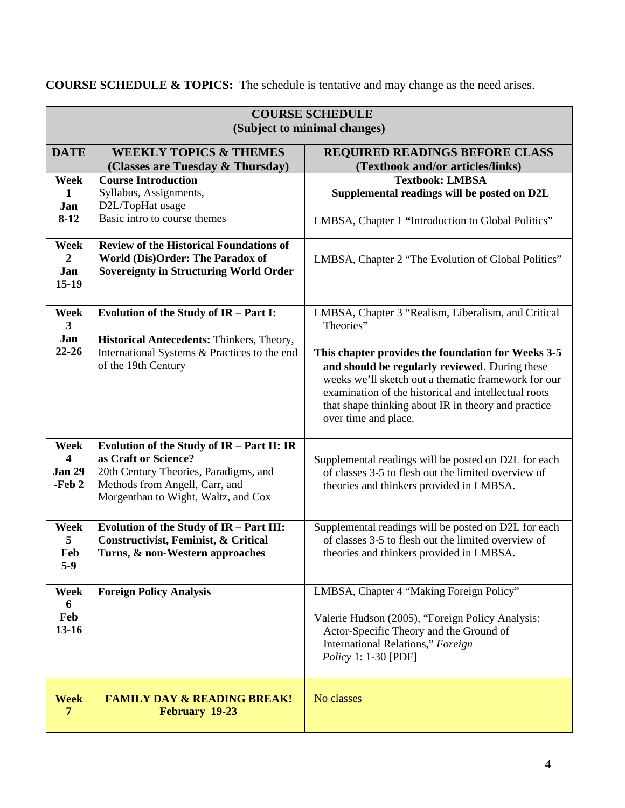| <b>COURSE SCHEDULE</b>       |                                                |                                                                                                             |  |  |
|------------------------------|------------------------------------------------|-------------------------------------------------------------------------------------------------------------|--|--|
| (Subject to minimal changes) |                                                |                                                                                                             |  |  |
| <b>DATE</b>                  | <b>WEEKLY TOPICS &amp; THEMES</b>              | REQUIRED READINGS BEFORE CLASS                                                                              |  |  |
|                              | (Classes are Tuesday & Thursday)               | (Textbook and/or articles/links)                                                                            |  |  |
| Week                         | <b>Course Introduction</b>                     | <b>Textbook: LMBSA</b>                                                                                      |  |  |
| $\mathbf{1}$                 | Syllabus, Assignments,                         | Supplemental readings will be posted on D2L                                                                 |  |  |
| Jan                          | D2L/TopHat usage                               |                                                                                                             |  |  |
| $8-12$                       | Basic intro to course themes                   | LMBSA, Chapter 1 "Introduction to Global Politics"                                                          |  |  |
| Week                         | <b>Review of the Historical Foundations of</b> |                                                                                                             |  |  |
| $\overline{2}$               | World (Dis)Order: The Paradox of               | LMBSA, Chapter 2 "The Evolution of Global Politics"                                                         |  |  |
| Jan                          | <b>Sovereignty in Structuring World Order</b>  |                                                                                                             |  |  |
| $15-19$                      |                                                |                                                                                                             |  |  |
|                              |                                                |                                                                                                             |  |  |
| Week                         | Evolution of the Study of IR - Part I:         | LMBSA, Chapter 3 "Realism, Liberalism, and Critical                                                         |  |  |
| 3                            |                                                | Theories"                                                                                                   |  |  |
| Jan                          | Historical Antecedents: Thinkers, Theory,      |                                                                                                             |  |  |
| $22 - 26$                    | International Systems & Practices to the end   | This chapter provides the foundation for Weeks 3-5                                                          |  |  |
|                              | of the 19th Century                            | and should be regularly reviewed. During these                                                              |  |  |
|                              |                                                | weeks we'll sketch out a thematic framework for our<br>examination of the historical and intellectual roots |  |  |
|                              |                                                | that shape thinking about IR in theory and practice                                                         |  |  |
|                              |                                                | over time and place.                                                                                        |  |  |
|                              |                                                |                                                                                                             |  |  |
| Week                         | Evolution of the Study of IR - Part II: IR     |                                                                                                             |  |  |
| $\overline{\mathbf{4}}$      | as Craft or Science?                           | Supplemental readings will be posted on D2L for each                                                        |  |  |
| <b>Jan 29</b>                | 20th Century Theories, Paradigms, and          | of classes 3-5 to flesh out the limited overview of                                                         |  |  |
| -Feb 2                       | Methods from Angell, Carr, and                 | theories and thinkers provided in LMBSA.                                                                    |  |  |
|                              | Morgenthau to Wight, Waltz, and Cox            |                                                                                                             |  |  |
|                              |                                                |                                                                                                             |  |  |
| Week                         | Evolution of the Study of IR - Part III:       | Supplemental readings will be posted on D2L for each                                                        |  |  |
| 5                            | Constructivist, Feminist, & Critical           | of classes 3-5 to flesh out the limited overview of                                                         |  |  |
| Feb                          | Turns, & non-Western approaches                | theories and thinkers provided in LMBSA.                                                                    |  |  |
| $5-9$                        |                                                |                                                                                                             |  |  |
|                              |                                                |                                                                                                             |  |  |
| Week<br>6                    | <b>Foreign Policy Analysis</b>                 | LMBSA, Chapter 4 "Making Foreign Policy"                                                                    |  |  |
| Feb                          |                                                | Valerie Hudson (2005), "Foreign Policy Analysis:                                                            |  |  |
| $13 - 16$                    |                                                | Actor-Specific Theory and the Ground of                                                                     |  |  |
|                              |                                                | International Relations," Foreign                                                                           |  |  |
|                              |                                                | <i>Policy</i> 1: 1-30 [PDF]                                                                                 |  |  |
|                              |                                                |                                                                                                             |  |  |
|                              |                                                |                                                                                                             |  |  |
| <b>Week</b>                  | <b>FAMILY DAY &amp; READING BREAK!</b>         | No classes                                                                                                  |  |  |
| $\overline{7}$               | February 19-23                                 |                                                                                                             |  |  |
|                              |                                                |                                                                                                             |  |  |

**COURSE SCHEDULE & TOPICS:** The schedule is tentative and may change as the need arises.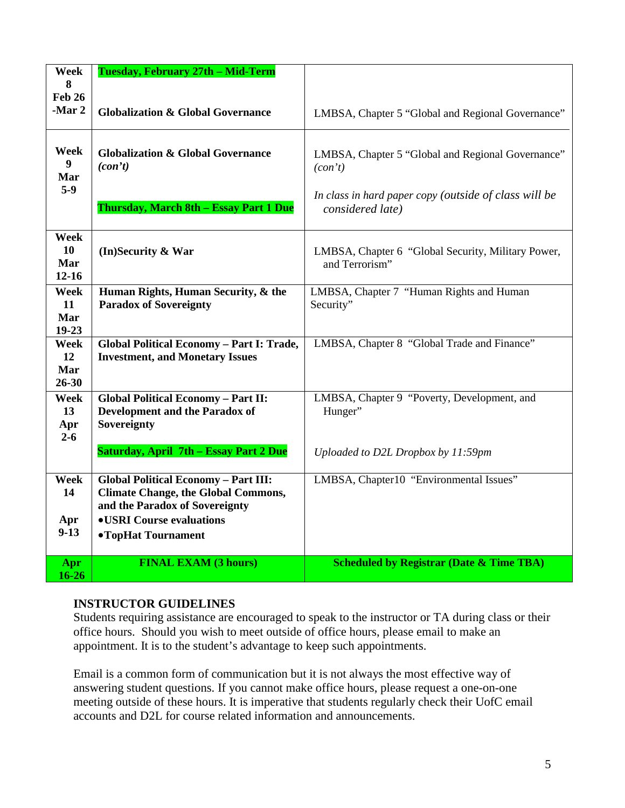| Week<br>8                             | Tuesday, February 27th - Mid-Term                                                                                                                                                    |                                                                           |
|---------------------------------------|--------------------------------------------------------------------------------------------------------------------------------------------------------------------------------------|---------------------------------------------------------------------------|
| <b>Feb 26</b><br>-Mar 2               | <b>Globalization &amp; Global Governance</b>                                                                                                                                         | LMBSA, Chapter 5 "Global and Regional Governance"                         |
| Week<br>$\boldsymbol{9}$<br>Mar       | <b>Globalization &amp; Global Governance</b><br>(con't)                                                                                                                              | LMBSA, Chapter 5 "Global and Regional Governance"<br>(con't)              |
| $5-9$                                 | Thursday, March 8th - Essay Part 1 Due                                                                                                                                               | In class in hard paper copy (outside of class will be<br>considered late) |
| Week<br>10<br>Mar<br>$12 - 16$        | (In)Security & War                                                                                                                                                                   | LMBSA, Chapter 6 "Global Security, Military Power,<br>and Terrorism"      |
| Week<br>11<br>Mar<br>$19 - 23$        | Human Rights, Human Security, & the<br><b>Paradox of Sovereignty</b>                                                                                                                 | LMBSA, Chapter 7 "Human Rights and Human<br>Security"                     |
| <b>Week</b><br>12<br>Mar<br>$26 - 30$ | Global Political Economy - Part I: Trade,<br><b>Investment, and Monetary Issues</b>                                                                                                  | LMBSA, Chapter 8 "Global Trade and Finance"                               |
| Week<br>13<br>Apr<br>$2 - 6$          | <b>Global Political Economy - Part II:</b><br><b>Development and the Paradox of</b><br>Sovereignty                                                                                   | LMBSA, Chapter 9 "Poverty, Development, and<br>Hunger"                    |
|                                       | <b>Saturday, April 7th - Essay Part 2 Due</b>                                                                                                                                        | Uploaded to D2L Dropbox by 11:59pm                                        |
| Week<br>14<br>Apr<br>$9-13$           | <b>Global Political Economy - Part III:</b><br><b>Climate Change, the Global Commons,</b><br>and the Paradox of Sovereignty<br><b>.USRI</b> Course evaluations<br>•TopHat Tournament | LMBSA, Chapter10 "Environmental Issues"                                   |
| Apr<br>$16 - 26$                      | <b>FINAL EXAM (3 hours)</b>                                                                                                                                                          | <b>Scheduled by Registrar (Date &amp; Time TBA)</b>                       |

## **INSTRUCTOR GUIDELINES**

Students requiring assistance are encouraged to speak to the instructor or TA during class or their office hours. Should you wish to meet outside of office hours, please email to make an appointment. It is to the student's advantage to keep such appointments.

Email is a common form of communication but it is not always the most effective way of answering student questions. If you cannot make office hours, please request a one-on-one meeting outside of these hours. It is imperative that students regularly check their UofC email accounts and D2L for course related information and announcements.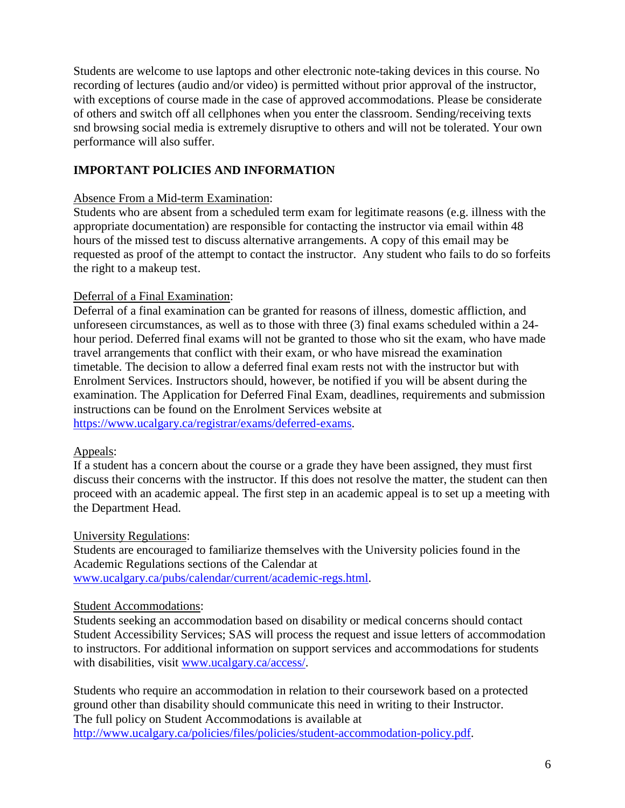Students are welcome to use laptops and other electronic note-taking devices in this course. No recording of lectures (audio and/or video) is permitted without prior approval of the instructor, with exceptions of course made in the case of approved accommodations. Please be considerate of others and switch off all cellphones when you enter the classroom. Sending/receiving texts snd browsing social media is extremely disruptive to others and will not be tolerated. Your own performance will also suffer.

# **IMPORTANT POLICIES AND INFORMATION**

### Absence From a Mid-term Examination:

Students who are absent from a scheduled term exam for legitimate reasons (e.g. illness with the appropriate documentation) are responsible for contacting the instructor via email within 48 hours of the missed test to discuss alternative arrangements. A copy of this email may be requested as proof of the attempt to contact the instructor. Any student who fails to do so forfeits the right to a makeup test.

### Deferral of a Final Examination:

Deferral of a final examination can be granted for reasons of illness, domestic affliction, and unforeseen circumstances, as well as to those with three (3) final exams scheduled within a 24 hour period. Deferred final exams will not be granted to those who sit the exam, who have made travel arrangements that conflict with their exam, or who have misread the examination timetable. The decision to allow a deferred final exam rests not with the instructor but with Enrolment Services. Instructors should, however, be notified if you will be absent during the examination. The Application for Deferred Final Exam, deadlines, requirements and submission instructions can be found on the Enrolment Services website at [https://www.ucalgary.ca/registrar/exams/deferred-exams.](https://www.ucalgary.ca/registrar/exams/deferred-exams)

#### Appeals:

If a student has a concern about the course or a grade they have been assigned, they must first discuss their concerns with the instructor. If this does not resolve the matter, the student can then proceed with an academic appeal. The first step in an academic appeal is to set up a meeting with the Department Head.

#### University Regulations:

Students are encouraged to familiarize themselves with the University policies found in the Academic Regulations sections of the Calendar at [www.ucalgary.ca/pubs/calendar/current/academic-regs.html.](http://www.ucalgary.ca/pubs/calendar/current/academic-regs.html)

#### Student Accommodations:

Students seeking an accommodation based on disability or medical concerns should contact Student Accessibility Services; SAS will process the request and issue letters of accommodation to instructors. For additional information on support services and accommodations for students with disabilities, visit [www.ucalgary.ca/access/.](http://www.ucalgary.ca/access/)

Students who require an accommodation in relation to their coursework based on a protected ground other than disability should communicate this need in writing to their Instructor. The full policy on Student Accommodations is available at [http://www.ucalgary.ca/policies/files/policies/student-accommodation-policy.pdf.](http://www.ucalgary.ca/policies/files/policies/student-accommodation-policy.pdf)